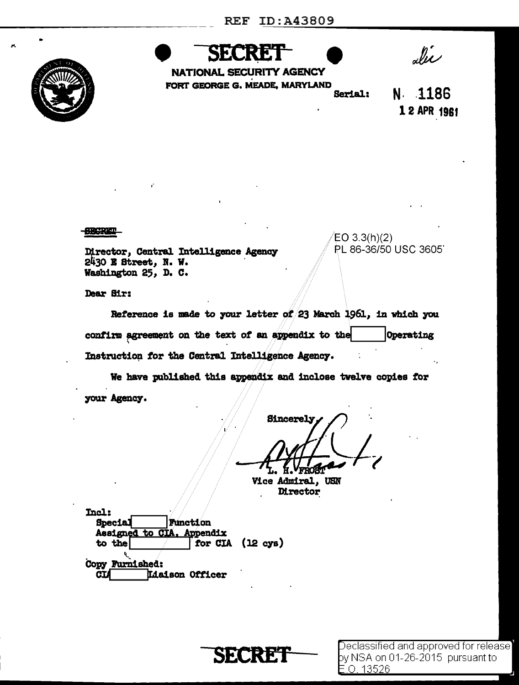

SF.

alie

NATIONAL SECURITY AGENCY FORT GEORGE G. MEADE, MARYLAND Serial:

N 1186 1 2 APR 1961

**SECRET** 

Director, Central Intelligence Agency 2430 E Street, N. W. Washington 25, D. C.

EO  $3.3(h)(2)$ PL 86-36/50 USC 3605

Dear Sir:

Reference is made to your letter of 23 March 1961, in which you confirm agreement on the text of an appendix to the Operating Instruction for the Central Intelligence Agency.

We have published this appendix and inclose twelve copies for your Agency.

**Sincerely** 

Vice Admiral, USN **Director** 

Incl: **Function Special** Assigned to CIA. Appendix for  $CIA$   $(12 cys)$ to the Copy Furnished: Liaison Officer CІ

**SECRET** 

 $\sf Dedassified$  and approved for release $\sf I$ by NSA on 01-26-2015 pursuant to E.O. 13526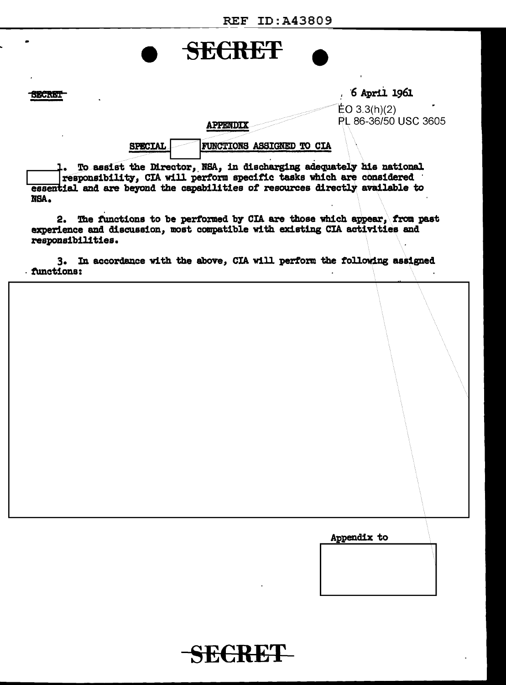## **SECRET**  $6$  April 1961 **SECRET**  $EO 3.3(h)(2)$ PL 86-36/50 USC 3605 APPENDIX **SPECIAL** FUNCTIONS ASSIGNED TO CIA 1. To assist the Director, NSA, in discharging adequately his national responsibility, CIA will perform specific tasks which are considered

2. The functions to be performed by CIA are those which appear, from past experience and discussion, most compatible with existing CIA activities and responsibilities.

essential and are beyond the capabilities of resources directly available to

NSA.

3. In accordance with the above, CIA will perform the following assigned functions:

Appendix to